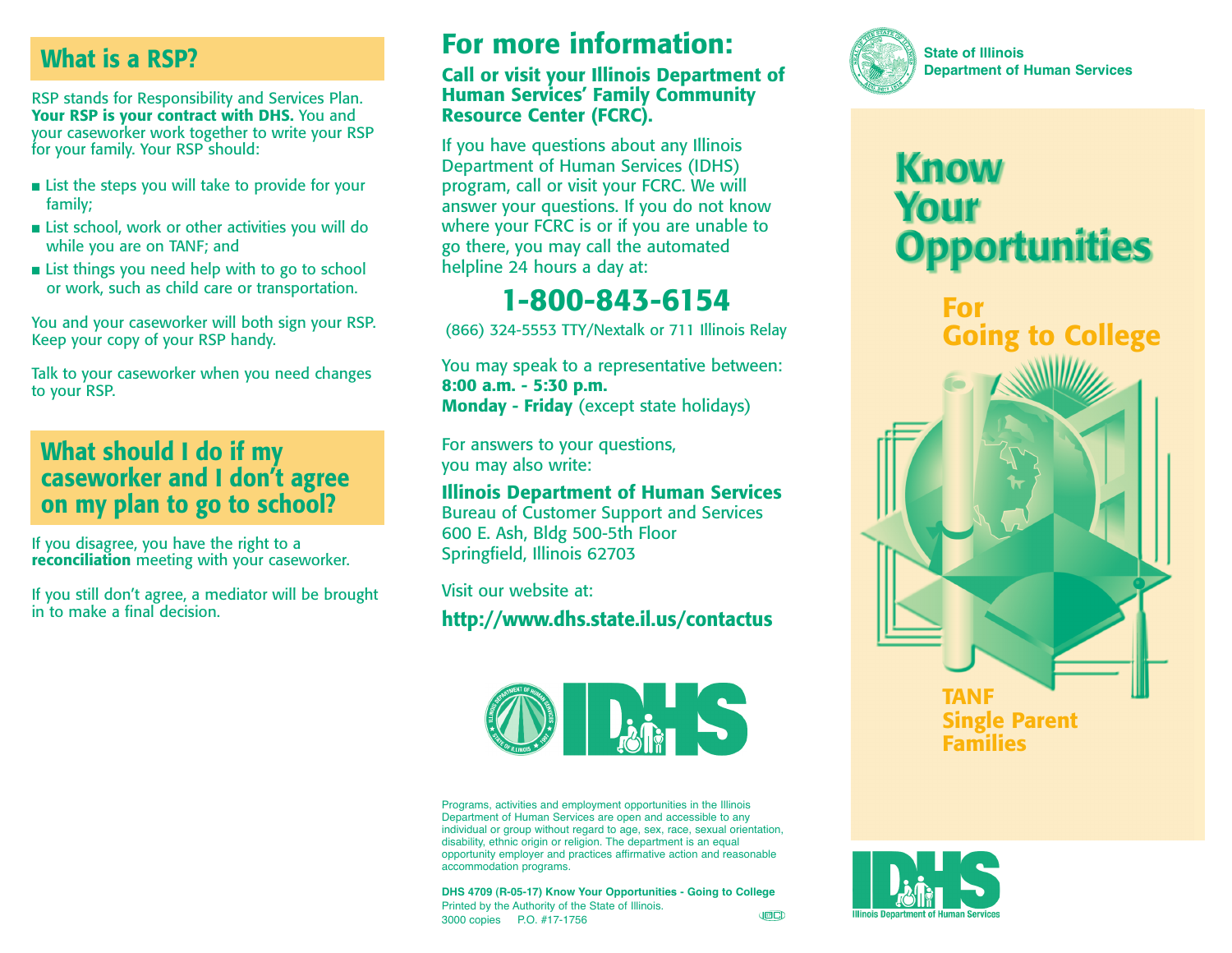# **What is a RSP?**

RSP stands for Responsibility and Services Plan. **Your RSP is your contract with DHS.** You and your caseworker work together to write your RSP for your family. Your RSP should:

- List the steps you will take to provide for your family;
- List school, work or other activities you will do while you are on TANF; and
- List things you need help with to go to school or work, such as child care or transportation.

You and your caseworker will both sign your RSP. Keep your copy of your RSP handy.

Talk to your caseworker when you need changes to your RSP.

### **What should I do if my caseworker and I don't agree on my plan to go to school?**

If you disagree, you have the right to a **reconciliation** meeting with your caseworker.

If you still don't agree, a mediator will be brought in to make a final decision.

# **For more information:**

#### **Call or visit your Illinois Department of Human Services' Family Community Resource Center (FCRC).**

If you have questions about any Illinois Department of Human Services (IDHS) program, call or visit your FCRC. We will answer your questions. If you do not know where your FCRC is or if you are unable to go there, you may call the automated helpline 24 hours a day at:

# **1-800-843-6154**

(866) 324-5553 TTY/Nextalk or 711 Illinois Relay

You may speak to a representative between: **8:00 a.m. - 5:30 p.m. Monday - Friday** (except state holidays)

For answers to your questions, you may also write:

**Illinois Department of Human Services** Bureau of Customer Support and Services 600 E. Ash, Bldg 500-5th Floor Springfield, Illinois 62703

Visit our website at:

**http://www.dhs.state.il.us/contactus**



Programs, activities and employment opportunities in the Illinois Department of Human Services are open and accessible to any individual or group without regard to age, sex, race, sexual orientation, disability, ethnic origin or religion. The department is an equal opportunity employer and practices affirmative action and reasonable accommodation programs.

**DHS 4709 (R-05-17) Know Your Opportunities - Going to College** Printed by the Authority of the State of Illinois. **JED** 3000 copies P.O. #17-1756



# **Know Your Opportunities**